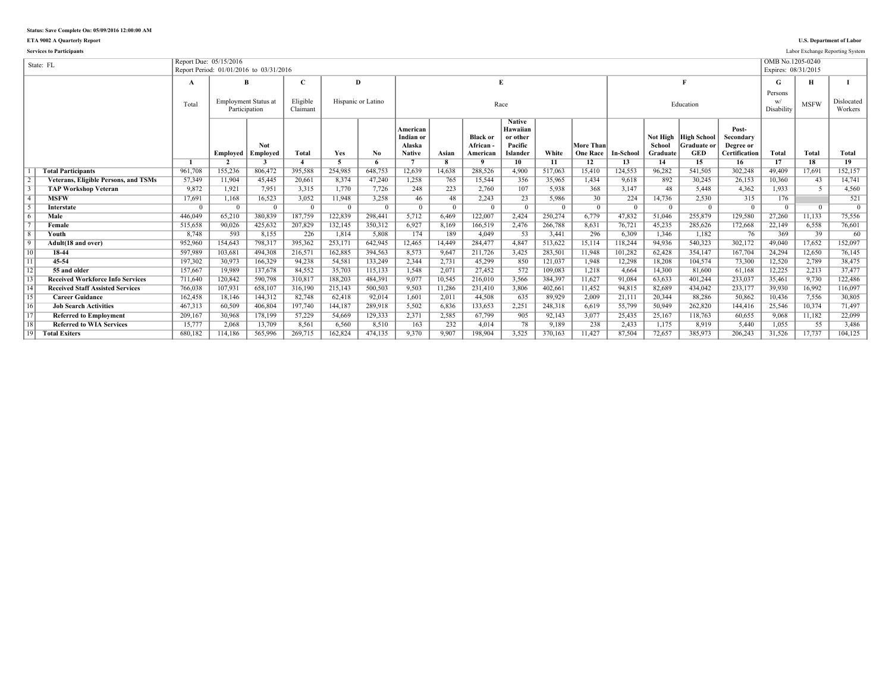**ETA 9002 A Quarterly Report U.S. Department of Labor**

**Services to Participants** Labor Exchange Reporting System

|                 | State: FL                                   |          | Report Due: 05/15/2016   | Report Period: 01/01/2016 to 03/31/2016      |                      |                         |                    |                                                  |                         |                                               |                                                              |          |                              |                |                    |                                                            |                                                  | OMB No.1205-0240<br>Expires: 08/31/2015 |                          |                       |
|-----------------|---------------------------------------------|----------|--------------------------|----------------------------------------------|----------------------|-------------------------|--------------------|--------------------------------------------------|-------------------------|-----------------------------------------------|--------------------------------------------------------------|----------|------------------------------|----------------|--------------------|------------------------------------------------------------|--------------------------------------------------|-----------------------------------------|--------------------------|-----------------------|
|                 |                                             | A        |                          | B                                            | Ċ                    |                         | D                  |                                                  |                         |                                               | E                                                            |          |                              |                |                    |                                                            |                                                  | G                                       | н                        |                       |
|                 |                                             |          |                          |                                              |                      |                         |                    |                                                  |                         |                                               |                                                              |          |                              |                |                    |                                                            |                                                  | Persons                                 |                          |                       |
|                 |                                             | Total    |                          | <b>Employment Status at</b><br>Participation | Eligible<br>Claimant |                         | Hispanic or Latino |                                                  |                         |                                               | Race                                                         |          |                              |                |                    | Education                                                  |                                                  | W/<br>Disability                        | <b>MSFW</b>              | Dislocated<br>Workers |
|                 |                                             |          | Emploved                 | Not<br>Employed                              | Total                | Yes                     | No.                | American<br>Indian or<br>Alaska<br><b>Native</b> | Asian                   | <b>Black or</b><br><b>African</b><br>American | <b>Native</b><br>Hawaiian<br>or other<br>Pacific<br>Islander | White    | More Than<br><b>One Race</b> | In-School      | School<br>Graduate | Not High   High School<br><b>Graduate or</b><br><b>GED</b> | Post-<br>Secondary<br>Degree or<br>Certification | Total                                   | Total                    | <b>Total</b>          |
|                 |                                             |          | $\overline{\phantom{a}}$ |                                              |                      | $\overline{\mathbf{5}}$ | -6                 |                                                  | $\overline{\mathbf{R}}$ | $\mathbf{o}$                                  | 10                                                           | 11       | 12                           | 13             | 14                 | 15                                                         | 16                                               | 17                                      | 18                       | 19                    |
|                 | <b>Total Participants</b>                   | 961,708  | 155,236                  | 806,472                                      | 395,588              | 254,985                 | 648,753            | 12.639                                           | 14,638                  | 288,526                                       | 4.900                                                        | 517.063  | 15,410                       | 124,553        | 96,282             | 541,505                                                    | 302,248                                          | 49.409                                  | 17.691                   | 152,157               |
|                 | <b>Veterans, Eligible Persons, and TSMs</b> | 57.349   | 11.904                   | 45,445                                       | 20.661               | 8.374                   | 47,240             | 1,258                                            | 765                     | 15.544                                        | 356                                                          | 35.965   | 1.434                        | 9,618          | 892                | 30.245                                                     | 26.153                                           | 10.360                                  | 43                       | 14,741                |
|                 | <b>TAP Workshop Veteran</b>                 | 9.872    | 1.921                    | 7.951                                        | 3.315                | 1.770                   | 7.726              | 248                                              | 223                     | 2.760                                         | 107                                                          | 5.938    | 368                          | 3.147          | 48                 | 5.448                                                      | 4.362                                            | 1.933                                   | $\overline{\phantom{1}}$ | 4.560                 |
| $\overline{4}$  | <b>MSFW</b>                                 | 17,691   | 1,168                    | 16,523                                       | 3.052                | 11,948                  | 3,258              | 46                                               | 48                      | 2.243                                         | 23                                                           | 5,986    | 30                           | 224            | 14.736             | 2.530                                                      | 315                                              | 176                                     |                          | 521                   |
|                 | Interstate                                  | $\Omega$ | $\Omega$                 | $\overline{0}$                               | $\Omega$             | $\Omega$                | $\Omega$           | $\Omega$                                         | $\Omega$                | $\Omega$                                      | $\Omega$                                                     | $\Omega$ | $\overline{0}$               | $\overline{0}$ | $\Omega$           | $\Omega$                                                   | $\Omega$                                         | $\Omega$                                | $\overline{0}$           | $\overline{0}$        |
| 6               | Male                                        | 446.049  | 65.210                   | 380,839                                      | 187.759              | 122,839                 | 298,441            | 5.712                                            | 6.469                   | 122,007                                       | 2.424                                                        | 250,274  | 6.779                        | 47,832         | 51.046             | 255.879                                                    | 129,580                                          | 27.260                                  | 11,133                   | 75,556                |
|                 | Female                                      | 515,658  | 90,026                   | 425,632                                      | 207,829              | 132,145                 | 350,312            | 6,927                                            | 8.169                   | 166,519                                       | 2,476                                                        | 266,788  | 8,631                        | 76,721         | 45,235             | 285,626                                                    | 172,668                                          | 22,149                                  | 6,558                    | 76,601                |
| $\overline{8}$  | <b>Youth</b>                                | 8.748    | 593                      | 8.155                                        | 226                  | 1.814                   | 5.808              | 174                                              | 189                     | 4.049                                         | 53                                                           | 3.441    | 296                          | 6.309          | 1.346              | 1.182                                                      | 76                                               | 369                                     | 39                       | 60                    |
| $\overline{9}$  | Adult(18 and over)                          | 952,960  | 154,643                  | 798,317                                      | 395,362              | 253,171                 | 642,945            | 12,465                                           | 14,449                  | 284,477                                       | 4,847                                                        | 513,622  | 15,114                       | 118,244        | 94,936             | 540,323                                                    | 302,172                                          | 49,040                                  | 17,652                   | 152,097               |
| 10              | 18-44                                       | 597.989  | 103.681                  | 494.308                                      | 216,571              | 162.885                 | 394.563            | 8,573                                            | 9,647                   | 211,726                                       | 3,425                                                        | 283,501  | 11.948                       | 101,282        | 62.428             | 354.147                                                    | 167,704                                          | 24.294                                  | 12,650                   | 76,145                |
| $\overline{11}$ | 45-54                                       | 197,302  | 30,973                   | 166,329                                      | 94,238               | 54,581                  | 133,249            | 2,344                                            | 2,731                   | 45,299                                        | 850                                                          | 121,037  | 1,948                        | 12,298         | 18,208             | 104.574                                                    | 73,300                                           | 12,520                                  | 2,789                    | 38,475                |
| $\overline{12}$ | 55 and older                                | 157.667  | 19.989                   | 137,678                                      | 84.552               | 35,703                  | 115,133            | 1.548                                            | 2,071                   | 27,452                                        | 572                                                          | 109.083  | 1,218                        | 4,664          | 14.300             | 81.600                                                     | 61,168                                           | 12,225                                  | 2.213                    | 37,477                |
| $\overline{13}$ | <b>Received Workforce Info Services</b>     | 711.640  | 120,842                  | 590,798                                      | 310.817              | 188,203                 | 484,391            | 9,077                                            | 10,545                  | 216,010                                       | 3.566                                                        | 384.397  | 11,627                       | 91,084         | 63.633             | 401.244                                                    | 233,037                                          | 35,461                                  | 9.730                    | 122,486               |
| $\overline{14}$ | <b>Received Staff Assisted Services</b>     | 766,038  | 107.931                  | 658,107                                      | 316.190              | 215,143                 | 500,503            | 9,503                                            | 11,286                  | 231.410                                       | 3.806                                                        | 402,661  | 11,452                       | 94,815         | 82.689             | 434.042                                                    | 233,177                                          | 39.930                                  | 16,992                   | 116,097               |
| 15              | <b>Career Guidance</b>                      | 162,458  | 18,146                   | 144,312                                      | 82,748               | 62,418                  | 92,014             | 1,601                                            | 2,011                   | 44.508                                        | 635                                                          | 89,929   | 2,009                        | 21,111         | 20.344             | 88,286                                                     | 50,862                                           | 10,436                                  | 7,556                    | 30,805                |
| $\overline{16}$ | <b>Job Search Activities</b>                | 467.313  | 60.509                   | 406.804                                      | 197.740              | 144.187                 | 289,918            | 5,502                                            | 6,836                   | 133.653                                       | 2,251                                                        | 248,318  | 6.619                        | 55,799         | 50.949             | 262.820                                                    | 144,416                                          | 25,546                                  | 10,374                   | 71,497                |
| $\overline{17}$ | <b>Referred to Employment</b>               | 209,167  | 30,968                   | 178,199                                      | 57,229               | 54,669                  | 129,333            | 2,371                                            | 2,585                   | 67,799                                        | 905                                                          | 92,143   | 3,077                        | 25,435         | 25,167             | 118,763                                                    | 60,655                                           | 9.068                                   | 11,182                   | 22,099                |
| 18              | <b>Referred to WIA Services</b>             | 15.777   | 2.068                    | 13,709                                       | 8.561                | 6,560                   | 8,510              | 163                                              | 232                     | 4.014                                         | 78                                                           | 9.189    | 238                          | 2,433          | 1.175              | 8.919                                                      | 5,440                                            | 1.055                                   | 55                       | 3,486                 |
| 19              | <b>Total Exiters</b>                        | 680.182  | 114.186                  | 565.996                                      | 269.715              | 162.824                 | 474.135            | 9.370                                            | 9.907                   | 198.904                                       | 3.525                                                        | 370.163  | 11.427                       | 87.504         | 72.657             | 385,973                                                    | 206.243                                          | 31.526                                  | 17.737                   | 104.125               |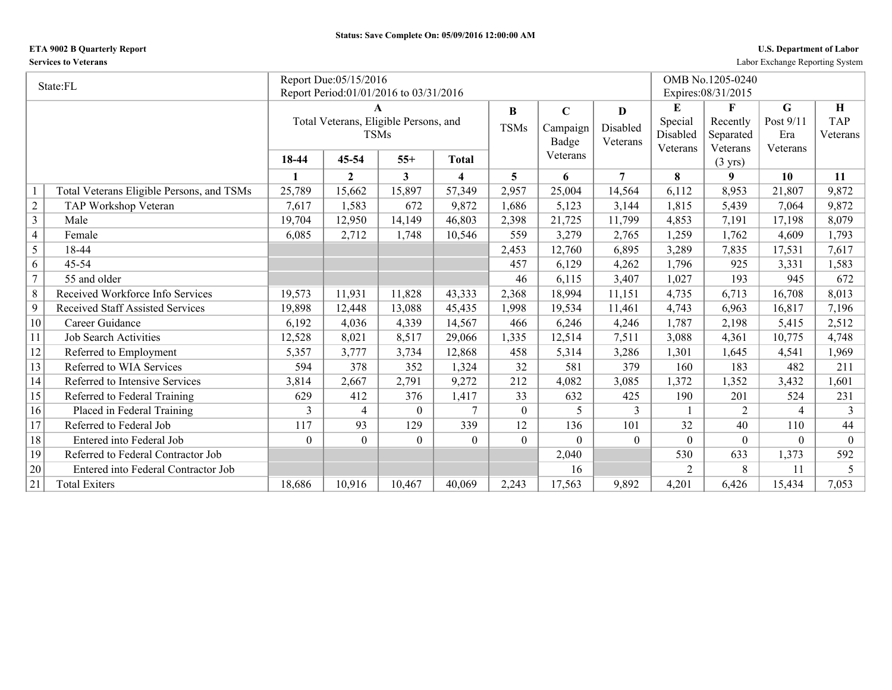## **ETA 9002 B Quarterly Report U.S. Department of Labor**

**Services to Veterans** Labor Exchange Reporting System

|                | State:FL                                  |          | Report Due:05/15/2016                  |                  |                         |                |             |                |                | OMB No.1205-0240              |           |            |
|----------------|-------------------------------------------|----------|----------------------------------------|------------------|-------------------------|----------------|-------------|----------------|----------------|-------------------------------|-----------|------------|
|                |                                           |          | Report Period:01/01/2016 to 03/31/2016 |                  |                         |                |             |                |                | Expires: 08/31/2015           |           |            |
|                |                                           |          | A                                      |                  |                         | $\bf{B}$       | $\mathbf C$ | D              | E              | F                             | G         | Н          |
|                |                                           |          | Total Veterans, Eligible Persons, and  |                  |                         | <b>TSMs</b>    | Campaign    | Disabled       | Special        | Recently                      | Post 9/11 | <b>TAP</b> |
|                |                                           |          | <b>TSMs</b>                            |                  |                         |                | Badge       | Veterans       | Disabled       | Separated                     | Era       | Veterans   |
|                |                                           | 18-44    | 45-54                                  | $55+$            | Total                   |                | Veterans    |                | Veterans       | Veterans<br>$(3 \text{ yrs})$ | Veterans  |            |
|                |                                           | 1        | $\mathbf{2}$                           | 3                | $\overline{\mathbf{4}}$ | 5              | 6           | $\overline{7}$ | 8              | 9                             | 10        | 11         |
|                | Total Veterans Eligible Persons, and TSMs | 25,789   | 15,662                                 | 15,897           | 57,349                  | 2,957          | 25,004      | 14,564         | 6,112          | 8,953                         | 21,807    | 9,872      |
| $\sqrt{2}$     | TAP Workshop Veteran                      | 7,617    | 1,583                                  | 672              | 9,872                   | 1,686          | 5,123       | 3,144          | 1,815          | 5,439                         | 7,064     | 9,872      |
| $\overline{3}$ | Male                                      | 19,704   | 12,950                                 | 14,149           | 46,803                  | 2,398          | 21,725      | 11,799         | 4,853          | 7,191                         | 17,198    | 8,079      |
| $\overline{4}$ | Female                                    | 6,085    | 2,712                                  | 1,748            | 10,546                  | 559            | 3,279       | 2,765          | 1,259          | 1,762                         | 4,609     | 1,793      |
| 5              | 18-44                                     |          |                                        |                  |                         | 2,453          | 12,760      | 6,895          | 3,289          | 7,835                         | 17,531    | 7,617      |
| 6              | $45 - 54$                                 |          |                                        |                  |                         | 457            | 6,129       | 4,262          | 1,796          | 925                           | 3,331     | 1,583      |
| $\overline{7}$ | 55 and older                              |          |                                        |                  |                         | 46             | 6,115       | 3,407          | 1,027          | 193                           | 945       | 672        |
| 8              | Received Workforce Info Services          | 19,573   | 11,931                                 | 11,828           | 43,333                  | 2,368          | 18,994      | 11,151         | 4,735          | 6,713                         | 16,708    | 8,013      |
| 9              | <b>Received Staff Assisted Services</b>   | 19,898   | 12,448                                 | 13,088           | 45,435                  | 1,998          | 19,534      | 11,461         | 4,743          | 6,963                         | 16,817    | 7,196      |
| 10             | Career Guidance                           | 6,192    | 4,036                                  | 4,339            | 14,567                  | 466            | 6,246       | 4,246          | 1,787          | 2,198                         | 5,415     | 2,512      |
| 11             | <b>Job Search Activities</b>              | 12,528   | 8,021                                  | 8,517            | 29,066                  | 1,335          | 12,514      | 7,511          | 3,088          | 4,361                         | 10,775    | 4,748      |
| 12             | Referred to Employment                    | 5,357    | 3,777                                  | 3,734            | 12,868                  | 458            | 5,314       | 3,286          | 1,301          | 1,645                         | 4,541     | 1,969      |
| 13             | Referred to WIA Services                  | 594      | 378                                    | 352              | 1,324                   | 32             | 581         | 379            | 160            | 183                           | 482       | 211        |
| 14             | Referred to Intensive Services            | 3,814    | 2,667                                  | 2,791            | 9,272                   | 212            | 4,082       | 3,085          | 1,372          | 1,352                         | 3,432     | 1,601      |
| 15             | Referred to Federal Training              | 629      | 412                                    | 376              | 1,417                   | 33             | 632         | 425            | 190            | 201                           | 524       | 231        |
| 16             | Placed in Federal Training                | 3        | 4                                      | $\theta$         | 7                       | $\overline{0}$ | 5           | 3              |                | $\overline{2}$                | 4         | 3          |
| 17             | Referred to Federal Job                   | 117      | 93                                     | 129              | 339                     | 12             | 136         | 101            | 32             | 40                            | 110       | 44         |
| 18             | Entered into Federal Job                  | $\Omega$ | $\overline{0}$                         | $\boldsymbol{0}$ | $\theta$                | $\overline{0}$ | $\theta$    | $\overline{0}$ | $\Omega$       | $\theta$                      | $\theta$  | $\theta$   |
| 19             | Referred to Federal Contractor Job        |          |                                        |                  |                         |                | 2,040       |                | 530            | 633                           | 1,373     | 592        |
| 20             | Entered into Federal Contractor Job       |          |                                        |                  |                         |                | 16          |                | $\overline{2}$ | 8                             | 11        | 5          |
| 21             | <b>Total Exiters</b>                      | 18,686   | 10,916                                 | 10,467           | 40,069                  | 2,243          | 17,563      | 9,892          | 4,201          | 6,426                         | 15,434    | 7,053      |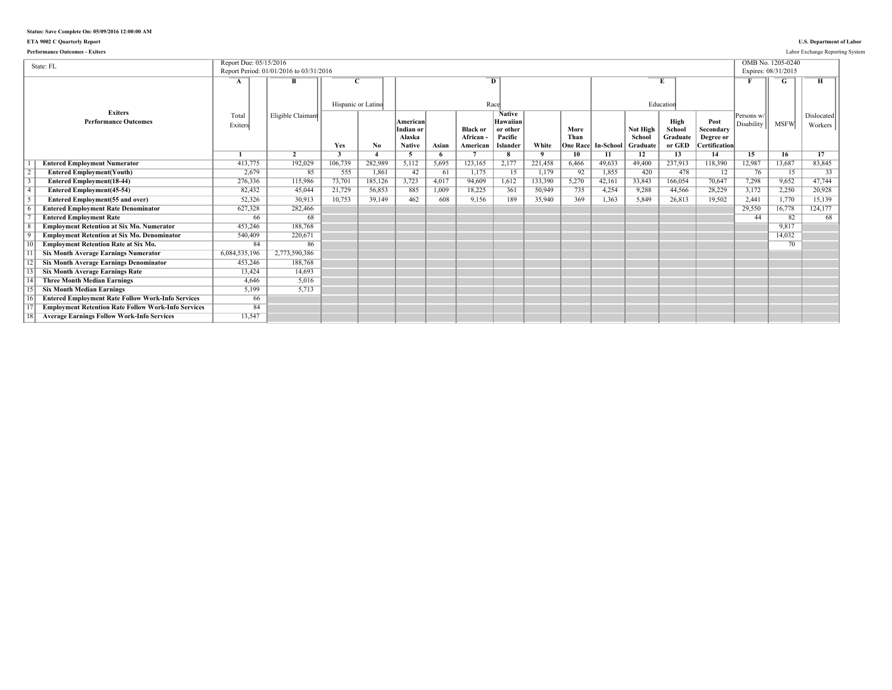## **ETA 9002 C Quarterly Report U.S. Department of Labor**

| <b>Performance Outcomes - Exiters</b>                                                             |                        |                                         |                    |                   |                                                  |             |                                        |                                                              |                         |                 |                              |                                |                                      |                                                        |                          |                                          | Labor Exchange Reporting System |
|---------------------------------------------------------------------------------------------------|------------------------|-----------------------------------------|--------------------|-------------------|--------------------------------------------------|-------------|----------------------------------------|--------------------------------------------------------------|-------------------------|-----------------|------------------------------|--------------------------------|--------------------------------------|--------------------------------------------------------|--------------------------|------------------------------------------|---------------------------------|
| State: FL                                                                                         | Report Due: 05/15/2016 | Report Period: 01/01/2016 to 03/31/2016 |                    |                   |                                                  |             |                                        |                                                              |                         |                 |                              |                                |                                      |                                                        |                          | OMB No. 1205-0240<br>Expires: 08/31/2015 |                                 |
|                                                                                                   | A                      | в                                       | Hispanic or Latino |                   |                                                  |             |                                        | $\overline{D}$<br>Race                                       |                         |                 |                              |                                | Education                            |                                                        |                          |                                          |                                 |
| <b>Exiters</b><br><b>Performance Outcomes</b>                                                     | Total<br>Exiters       | Eligible Claimant                       | Yes                | No.               | American<br>Indian or<br>Alaska<br><b>Native</b> | Asian       | <b>Black or</b><br>African<br>American | <b>Native</b><br>Hawaiian<br>or other<br>Pacific<br>Islander | White                   | More<br>Than    | <b>One Race  In-School  </b> | Not High<br>School<br>Graduate | High<br>School<br>Graduate<br>or GED | Post<br>Secondary<br>Degree or<br><b>Certification</b> | Persons w/<br>Disability | <b>MSFW</b>                              | Dislocated<br>Workers           |
|                                                                                                   |                        | $\overline{2}$                          | 3                  |                   | 5                                                | -6<br>5.695 |                                        | $\overline{\mathbf{R}}$                                      | $\mathbf{q}$<br>221.458 | 10 <sup>7</sup> | 11<br>49.633                 | 12                             | 13                                   | 14                                                     | 15                       | 16                                       | 17                              |
| <b>Entered Employment Numerator</b>                                                               | 413,775                | 192,029<br>85                           | 106,739<br>555     | 282,989           | 5,112<br>42                                      | 61          | 123,165                                | 2,177<br>15                                                  |                         | 6,466<br>92     | 1,855                        | 49.400<br>420                  | 237,913<br>478                       | 118,390                                                | 12,987<br>76             | 13,687<br>15                             | 83,845<br>33                    |
| <b>Entered Employment(Youth)</b>                                                                  | 2,679                  |                                         |                    | 1,861             | 3,723                                            | 4.017       | 1,175                                  |                                                              | 1,179                   | 5,270           |                              | 33,843                         |                                      | 12<br>70,647                                           | 7,298                    | 9,652                                    | 47.744                          |
| <b>Entered Employment</b> (18-44)                                                                 | 276,336<br>82,432      | 115,986<br>45,044                       | 73,701<br>21,729   | 185,126<br>56,853 | 885                                              | 1.009       | 94,609<br>18,225                       | 1,612<br>361                                                 | 133,390<br>50,949       | 735             | 42,161<br>4,254              | 9,288                          | 166,054<br>44,566                    | 28,229                                                 | 3,172                    | 2,250                                    | 20,928                          |
| <b>Entered Employment</b> (45-54)                                                                 | 52,326                 | 30.913                                  | 10,753             | 39,149            | 462                                              | 608         | 9,156                                  | 189                                                          | 35,940                  | 369             | 1,363                        | 5.849                          | 26,813                               | 19,502                                                 | 2,441                    | 1,770                                    | 15,139                          |
| <b>Entered Employment(55 and over)</b>                                                            |                        |                                         |                    |                   |                                                  |             |                                        |                                                              |                         |                 |                              |                                |                                      |                                                        |                          |                                          |                                 |
| <b>Entered Employment Rate Denominator</b>                                                        | 627,328<br>66          | 282,466<br>68                           |                    |                   |                                                  |             |                                        |                                                              |                         |                 |                              |                                |                                      |                                                        | 29,550<br>44             | 16,778<br>82                             | 124,177<br>68                   |
| <b>Entered Employment Rate</b><br><b>Employment Retention at Six Mo. Numerator</b>                | 453,246                | 188.768                                 |                    |                   |                                                  |             |                                        |                                                              |                         |                 |                              |                                |                                      |                                                        |                          | 9.817                                    |                                 |
|                                                                                                   |                        |                                         |                    |                   |                                                  |             |                                        |                                                              |                         |                 |                              |                                |                                      |                                                        |                          |                                          |                                 |
| <b>Employment Retention at Six Mo. Denominator</b><br><b>Employment Retention Rate at Six Mo.</b> | 540,409<br>84          | 220,671<br>86                           |                    |                   |                                                  |             |                                        |                                                              |                         |                 |                              |                                |                                      |                                                        |                          | 14,032<br>70                             |                                 |
| <b>Six Month Average Earnings Numerator</b>                                                       | 6,084,535,196          | 2,773,590,386                           |                    |                   |                                                  |             |                                        |                                                              |                         |                 |                              |                                |                                      |                                                        |                          |                                          |                                 |
| <b>Six Month Average Earnings Denominator</b>                                                     | 453,246                | 188,768                                 |                    |                   |                                                  |             |                                        |                                                              |                         |                 |                              |                                |                                      |                                                        |                          |                                          |                                 |
|                                                                                                   |                        | 14.693                                  |                    |                   |                                                  |             |                                        |                                                              |                         |                 |                              |                                |                                      |                                                        |                          |                                          |                                 |
| <b>Six Month Average Earnings Rate</b><br><b>Three Month Median Earnings</b>                      | 13,424<br>4.646        | 5.016                                   |                    |                   |                                                  |             |                                        |                                                              |                         |                 |                              |                                |                                      |                                                        |                          |                                          |                                 |
|                                                                                                   |                        | 5.713                                   |                    |                   |                                                  |             |                                        |                                                              |                         |                 |                              |                                |                                      |                                                        |                          |                                          |                                 |
| <b>Six Month Median Earnings</b>                                                                  | 5,199                  |                                         |                    |                   |                                                  |             |                                        |                                                              |                         |                 |                              |                                |                                      |                                                        |                          |                                          |                                 |
| <b>Entered Employment Rate Follow Work-Info Services</b>                                          | 66                     |                                         |                    |                   |                                                  |             |                                        |                                                              |                         |                 |                              |                                |                                      |                                                        |                          |                                          |                                 |
| <b>Employment Retention Rate Follow Work-Info Services</b>                                        | 84                     |                                         |                    |                   |                                                  |             |                                        |                                                              |                         |                 |                              |                                |                                      |                                                        |                          |                                          |                                 |
| <b>Average Earnings Follow Work-Info Services</b>                                                 | 13,547                 |                                         |                    |                   |                                                  |             |                                        |                                                              |                         |                 |                              |                                |                                      |                                                        |                          |                                          |                                 |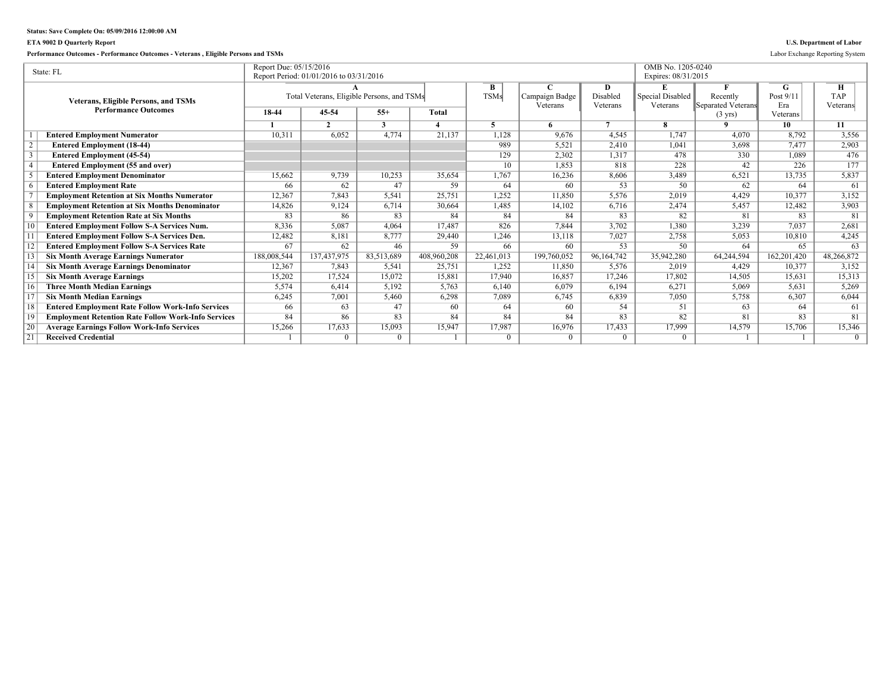## **ETA 9002 D Quarterly Report U.S. Department of Labor**

**Performance Outcomes - Performance Outcomes - Veterans , Eligible Persons and TSMs** Labor Exchange Reporting System

|                 | State: FL                                                  | Report Due: 05/15/2016 | Report Period: 01/01/2016 to 03/31/2016    |              |              |             |                |                | OMB No. 1205-0240<br>Expires: 08/31/2015 |                                         |                  |                 |
|-----------------|------------------------------------------------------------|------------------------|--------------------------------------------|--------------|--------------|-------------|----------------|----------------|------------------------------------------|-----------------------------------------|------------------|-----------------|
|                 |                                                            |                        |                                            |              |              |             |                | Đ              |                                          |                                         |                  |                 |
|                 |                                                            |                        |                                            |              |              | B           |                |                |                                          |                                         | G                | н<br><b>TAP</b> |
|                 | <b>Veterans, Eligible Persons, and TSMs</b>                |                        | Total Veterans, Eligible Persons, and TSMs |              |              | <b>TSMs</b> | Campaign Badge | Disabled       | Special Disabled                         | Recently                                | Post 9/11        |                 |
|                 | <b>Performance Outcomes</b>                                | 18-44                  | 45-54                                      | $55+$        | <b>Total</b> |             | Veterans       | Veterans       | Veterans                                 | Separated Veterans<br>$(3 \text{ yrs})$ | Era<br>Veterans! | Veterans        |
|                 |                                                            |                        | $\mathcal{L}$                              | $\mathbf{3}$ |              |             |                | $\overline{ }$ |                                          | $\Omega$                                | 10               | 11              |
|                 | <b>Entered Employment Numerator</b>                        | 10,311                 | 6,052                                      | 4,774        | 21,137       | 1,128       | 9,676          | 4,545          | 1,747                                    | 4.070                                   | 8,792            | 3,556           |
|                 | <b>Entered Employment (18-44)</b>                          |                        |                                            |              |              | 989         | 5,521          | 2,410          | 1,041                                    | 3,698                                   | 7.477            | 2,903           |
|                 | <b>Entered Employment (45-54)</b>                          |                        |                                            |              |              | 129         | 2,302          | 1,317          | 478                                      | 330                                     | 1.089            | 476             |
|                 | <b>Entered Employment (55 and over)</b>                    |                        |                                            |              |              | 10          | 1,853          | 818            | 228                                      | 42                                      | 226              | 177             |
|                 | <b>Entered Employment Denominator</b>                      | 15.662                 | 9,739                                      | 10,253       | 35,654       | 1,767       | 16,236         | 8,606          | 3,489                                    | 6,521                                   | 13,735           | 5,837           |
|                 | <b>Entered Employment Rate</b>                             | 66                     | 62                                         | 47           | 59           | 64          | 60             | 53             | $50^{\circ}$                             | 62                                      | 64               | $\overline{61}$ |
|                 | <b>Employment Retention at Six Months Numerator</b>        | 12,367                 | 7,843                                      | 5,541        | 25,751       | 1,252       | 11,850         | 5,576          | 2,019                                    | 4,429                                   | 10,377           | 3,152           |
|                 | <b>Employment Retention at Six Months Denominator</b>      | 14,826                 | 9,124                                      | 6,714        | 30,664       | 1,485       | 14,102         | 6,716          | 2,474                                    | 5,457                                   | 12,482           | 3,903           |
|                 | <b>Employment Retention Rate at Six Months</b>             | 83                     | 86                                         | 83           | 84           | 84          | 84             | 83             | 82                                       | 81                                      | 83               | 81              |
|                 | <b>Entered Employment Follow S-A Services Num.</b>         | 8,336                  | 5.087                                      | 4.064        | 17.487       | 826         | 7.844          | 3,702          | 1.380                                    | 3.239                                   | 7,037            | 2,681           |
|                 | <b>Entered Employment Follow S-A Services Den.</b>         | 12,482                 | 8,181                                      | 8,777        | 29,440       | 1,246       | 13,118         | 7,027          | 2,758                                    | 5,053                                   | 10,810           | 4,245           |
|                 | <b>Entered Employment Follow S-A Services Rate</b>         | 67                     | 62                                         | 46           | 59           | 66          | 60             | 53             | $50^{\circ}$                             | 64                                      | 65               | 63              |
|                 | <b>Six Month Average Earnings Numerator</b>                | 188,008,544            | 137,437,975                                | 83,513,689   | 408,960,208  | 22,461,013  | 199,760,052    | 96,164,742     | 35,942,280                               | 64,244,594                              | 162,201,420      | 48,266,872      |
|                 | <b>Six Month Average Earnings Denominator</b>              | 12,367                 | 7.843                                      | 5,541        | 25,751       | 1.252       | 11,850         | 5,576          | 2.019                                    | 4.429                                   | 10.377           | 3,152           |
|                 | <b>Six Month Average Earnings</b>                          | 15,202                 | 17,524                                     | 15.072       | 15,881       | 17.940      | 16.857         | 17.246         | 17,802                                   | 14,505                                  | 15.631           | 15,313          |
|                 | <b>Three Month Median Earnings</b>                         | 5,574                  | 6,414                                      | 5,192        | 5,763        | 6,140       | 6.079          | 6,194          | 6,271                                    | 5,069                                   | 5.631            | 5,269           |
|                 | <b>Six Month Median Earnings</b>                           | 6,245                  | 7,001                                      | 5,460        | 6,298        | 7,089       | 6,745          | 6,839          | 7,050                                    | 5,758                                   | 6,307            | 6,044           |
| 18              | <b>Entered Employment Rate Follow Work-Info Services</b>   | 66                     | 63                                         | 47           | 60           | 64          | 60             | 54             | 51                                       | 63                                      | 64               | 61              |
| $\overline{19}$ | <b>Employment Retention Rate Follow Work-Info Services</b> | 84                     | 86                                         | 83           | 84           | 84          | 84             | 83             | 82                                       | 81                                      | 83               | 81              |
| $\overline{20}$ | <b>Average Earnings Follow Work-Info Services</b>          | 15,266                 | 17,633                                     | 15.093       | 15,947       | 17,987      | 16,976         | 17.433         | 17,999                                   | 14,579                                  | 15,706           | 15,346          |
| $\overline{21}$ | <b>Received Credential</b>                                 |                        | $\Omega$                                   | $\Omega$     |              | $\Omega$    | $\theta$       | $\Omega$       | $\Omega$                                 |                                         |                  | $\Omega$        |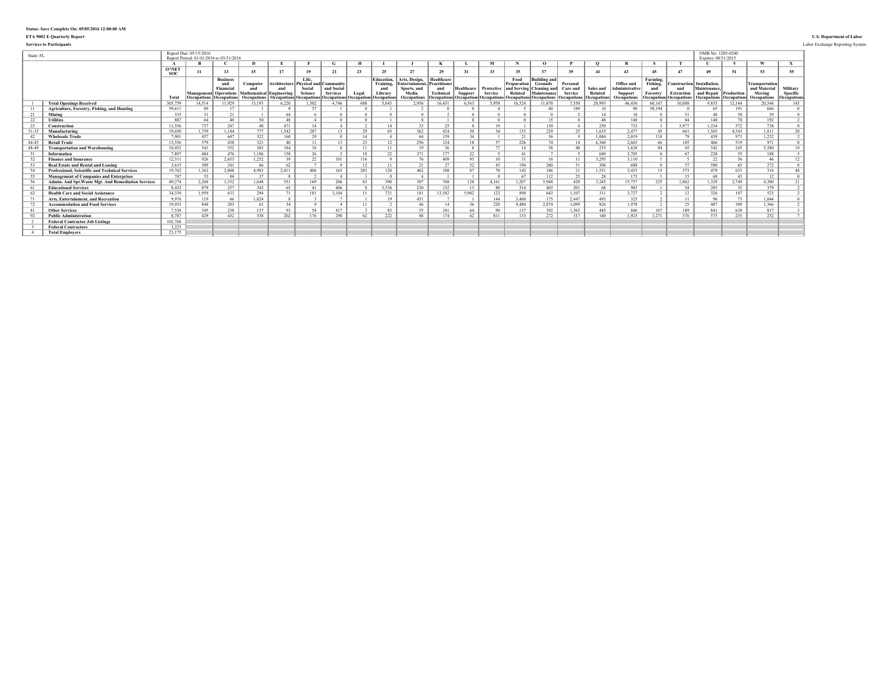## **ETA 9002 E Quarterly Report U.S. Department of Labor**

**Services to Participants** Labor Exchange Reporting System

| State: FL |                                                     |              | Report Due: 05/15/2016 | Report Period: 01/01/2016 to 03/31/2016                                                 |                                                     |                     |                                                                                                           |                               |                      |                                                                |                                                                                     |                                                     |                              |                                                                |                                                      |                                                                                                         |                                                |                                     |                                                             |                                                      |                                                                | OMB No. 1205-0240<br>Expires: 08/31/2015                               |        |                                                                       |                                     |
|-----------|-----------------------------------------------------|--------------|------------------------|-----------------------------------------------------------------------------------------|-----------------------------------------------------|---------------------|-----------------------------------------------------------------------------------------------------------|-------------------------------|----------------------|----------------------------------------------------------------|-------------------------------------------------------------------------------------|-----------------------------------------------------|------------------------------|----------------------------------------------------------------|------------------------------------------------------|---------------------------------------------------------------------------------------------------------|------------------------------------------------|-------------------------------------|-------------------------------------------------------------|------------------------------------------------------|----------------------------------------------------------------|------------------------------------------------------------------------|--------|-----------------------------------------------------------------------|-------------------------------------|
|           |                                                     |              |                        |                                                                                         |                                                     |                     |                                                                                                           |                               |                      |                                                                |                                                                                     |                                                     |                              | M                                                              |                                                      |                                                                                                         |                                                | $\Omega$                            |                                                             |                                                      |                                                                |                                                                        |        | w                                                                     |                                     |
|           |                                                     | O*NET<br>soc | 11                     | 13                                                                                      | 15                                                  | 17                  | 19                                                                                                        | 21                            | 23                   | 25                                                             | 27                                                                                  | 29                                                  | 31                           | 33                                                             | 35                                                   | 27                                                                                                      | 39                                             | 41                                  | 43                                                          | 45                                                   | 47                                                             | 49                                                                     | 51     | 53                                                                    | 55                                  |
|           |                                                     | Total        | <b>Occupations</b>     | <b>Business</b><br>and<br>Financi<br><b>Management</b> Operations<br><b>Occupations</b> | Computer<br>Mathematical Engineering<br>Occupations | Architecture<br>and | Life.<br><b>Physical and Community</b><br>Social<br>Science<br><b>Occupations Occupations Occupations</b> | and Social<br><b>Services</b> | Legal<br>Occupations | <b>Education.</b><br>Training,<br>and<br>Library<br>Occupation | Arts, Design.<br>Entertainment. Practitioner<br>Sports, and<br>Media<br>Occupations | Healthcare<br>and<br><b>Technical</b><br>ccupations | Healthcare<br><b>Support</b> | Protective<br><b>Service</b><br><b>Occupations</b> Occupations | Food<br>Preparation<br>and Serving<br><b>Related</b> | (Building and<br><b>Grounds</b><br><b>Cleaning</b> and<br>Maintenance<br><b>Decupations</b> Occupations | Personal<br>Care and<br>Service<br>Occupations | Sales and<br>Related<br>Occupations | Office and<br>dministrativ<br><b>Support</b><br>Occupations | Farming.<br>Fishing,<br>and<br>Forestry<br>Occupatio | Construction Installation.<br><b>Extraction</b><br>Occupations | Maintenance.<br>and Repair Production<br><b>Occupations Occupation</b> |        | <b>Transportation</b><br>and Material<br>Moving<br><b>Occupations</b> | Military<br>Specific<br>Occupations |
|           | <b>Total Openings Received</b>                      | 305.759      | 14,514                 | 11,929                                                                                  | 13.193                                              | 6,220               | ,502                                                                                                      | 4.746                         | 688                  | 5.043                                                          | 2.956                                                                               | 16.431                                              | 6.563                        | 5,958                                                          | 16,524                                               | 11.870                                                                                                  | 7.350                                          | 20,993                              | 46,436                                                      | 60.147                                               | 10.008                                                         | 9.835                                                                  | 12,164 | 20.544                                                                | 145                                 |
|           | Agriculture, Forestry, Fishing, and Hunting         | 59.611       | 89                     | 17                                                                                      |                                                     |                     |                                                                                                           |                               |                      |                                                                |                                                                                     |                                                     |                              |                                                                |                                                      | 40                                                                                                      | 189                                            |                                     | 90                                                          | 58.194                                               |                                                                | 65                                                                     | 191    | 666                                                                   |                                     |
|           | Mining                                              | 335          |                        | 21                                                                                      |                                                     | 64                  |                                                                                                           |                               |                      |                                                                |                                                                                     |                                                     |                              |                                                                |                                                      |                                                                                                         |                                                |                                     | 18                                                          |                                                      |                                                                | 48                                                                     | 58     | 39                                                                    |                                     |
| 22        | <b>Utilities</b>                                    | 887          | 64                     | 40                                                                                      | 50                                                  | 48                  |                                                                                                           |                               |                      |                                                                |                                                                                     |                                                     |                              |                                                                |                                                      | 15                                                                                                      |                                                | 48                                  | 140                                                         |                                                      | 64                                                             | 140                                                                    | 70     | 192                                                                   |                                     |
| 23        | Construction                                        | 11.356       | 737                    | 247                                                                                     | 48                                                  | 471                 | 14                                                                                                        |                               | $\sim$               | 14                                                             | 33                                                                                  | 25                                                  |                              | 19                                                             |                                                      | 130                                                                                                     |                                                | 250                                 | 733                                                         |                                                      | 5.977                                                          | 1.334                                                                  | 572    | 738                                                                   |                                     |
| $31 - 31$ | Manufacturing                                       | 19.650       | 1,759                  | 1.144                                                                                   | 777                                                 | 1.542               | 287                                                                                                       | 13                            | 29                   | 65.                                                            | 362                                                                                 | 424                                                 | 50                           | 34                                                             | 153                                                  | 229                                                                                                     | 25                                             | 1.635                               | 2.477                                                       | 45                                                   | 661                                                            | 1,565                                                                  | 4.543  | 1.811                                                                 | 20                                  |
| 42        | <b>Wholesale Trade</b>                              | 7.901        | 457                    | 647                                                                                     | 322                                                 | 160                 | 29                                                                                                        |                               | 14                   |                                                                | 64                                                                                  | 159                                                 | 34                           |                                                                | 21                                                   | 26                                                                                                      |                                                | 1.084                               | 2.019                                                       | 118                                                  | 79                                                             | 439                                                                    | 971    | 1,232                                                                 |                                     |
| 44-45     | <b>Retail Trade</b>                                 | 13.356       | 579                    | 438                                                                                     | 321                                                 | 40                  | 11                                                                                                        | 13                            | 23                   | 12                                                             | 256                                                                                 | 124                                                 | 18                           | 57                                                             | 226                                                  | 74                                                                                                      | 14                                             | 6,360                               | 2,663                                                       | 66                                                   | 105                                                            | 466                                                                    | 519    | 971                                                                   |                                     |
| 48-49     | <b>Transportation and Warehousing</b>               | 10.052       | 541                    | 552                                                                                     | 303                                                 | 184                 | 18                                                                                                        |                               | 11                   |                                                                | 19                                                                                  | 36                                                  |                              | 77                                                             | 14                                                   | 58                                                                                                      | 40                                             | 235                                 | 1,628                                                       | $Q_{A}$                                              | 45                                                             | 542                                                                    | 245    | 5.380                                                                 |                                     |
| 51        | Information                                         | 7897         | 484                    | 476                                                                                     | 1.186                                               | 158                 | 26                                                                                                        |                               | 18                   | 22                                                             | 371                                                                                 | 177                                                 | 22                           |                                                                | 41                                                   |                                                                                                         |                                                | 649                                 | 3.705                                                       |                                                      | 67                                                             | 228                                                                    | 55     | 188                                                                   |                                     |
| 52        | <b>Finance and Insurance</b>                        | 12.311       | 926                    | 2.653                                                                                   | 1,252                                               | 39                  | 22                                                                                                        | 101                           | 116                  |                                                                | 76                                                                                  | 409                                                 | 93                           | 10                                                             |                                                      | 16                                                                                                      |                                                | 3.295                               | 3,110                                                       |                                                      |                                                                | 22                                                                     | 56     | 46                                                                    | 12                                  |
|           | <b>Real Estate and Rental and Leasing</b>           | 3.615        | 589                    | 241                                                                                     | 66                                                  | 62                  |                                                                                                           |                               | 12                   |                                                                | 21                                                                                  | 27                                                  | 52                           | 45                                                             | 194                                                  | 260                                                                                                     | 51                                             | 306                                 | 688                                                         |                                                      | 57                                                             | 580                                                                    | 65     | 272                                                                   |                                     |
|           | Professional, Scientific and Technical Services     | 19.762       | 1,362                  | 2.008                                                                                   | 4,983                                               | 2.411               | 406                                                                                                       | 165                           | 283                  | 120                                                            | 462                                                                                 | 188                                                 | 87                           | 70                                                             | 142                                                  | 186                                                                                                     | 21                                             | 1,551                               | 3,453                                                       | $15 -$                                               | 373                                                            | 479                                                                    | 633    | 316                                                                   | 48                                  |
| 55        | <b>Management of Companies and Enterprises</b>      | 747          | 53                     | 84                                                                                      | 37                                                  |                     |                                                                                                           |                               |                      |                                                                |                                                                                     |                                                     |                              |                                                                | 67                                                   | 112                                                                                                     | 25                                             | 28                                  | 173                                                         |                                                      | 15                                                             | 68                                                                     | 43     | 12                                                                    |                                     |
| -56       | Admin. And Spt. Waste Mgt. And Remediation Services | 49.274       | 2,268                  | 1,532                                                                                   | 1,648                                               | 551                 | 169                                                                                                       | 206                           | 83                   | 390                                                            | 307                                                                                 | 768                                                 | 128                          | 4,161                                                          | 1.207                                                | 5,948                                                                                                   | 420                                            | 3,245                               | 15,757                                                      | 225                                                  | 1,862                                                          | 1,329                                                                  | 2.749  | 4,300                                                                 | 21                                  |
|           | <b>Educational Services</b>                         | 8.432        | 879                    | 257                                                                                     | 343                                                 | 65                  | 41                                                                                                        | 406                           |                      | 3.336                                                          | 230                                                                                 | 132                                                 | 13                           | 80                                                             | 314                                                  | 403                                                                                                     | 201                                            | 68                                  | 983                                                         |                                                      | 54                                                             | 205                                                                    | 32     | 379                                                                   |                                     |
| 62        | <b>Health Care and Social Assistance</b>            | 34.339       | 1,959                  | 633                                                                                     | 294                                                 | 71                  | 181                                                                                                       | 3.104                         | 11                   | 721                                                            | 101                                                                                 | 13,582                                              | 5,902                        | 122                                                            | 898                                                  | 643                                                                                                     | 1.107                                          | 311                                 | 3,727                                                       |                                                      | 12                                                             | 326                                                                    | 107    | 523                                                                   |                                     |
|           | Arts, Entertainment, and Recreation                 | 9.976        | 119                    | 66                                                                                      | 1,024                                               |                     |                                                                                                           |                               |                      | 19                                                             | 451                                                                                 |                                                     |                              | 144                                                            | 3.460                                                | 175                                                                                                     | 2.447                                          | 493                                 | $\frac{325}{1,978}$                                         |                                                      |                                                                | 96                                                                     | 73     | 1.044                                                                 |                                     |
| 72        | <b>Accommodation and Food Services</b>              | 19.933       | 844                    | 203                                                                                     | 62                                                  | 34                  | $\circ$                                                                                                   |                               | 11                   |                                                                | 46                                                                                  | 14                                                  | 36                           | 220                                                            | 9.480                                                | 2.874                                                                                                   | 1.099                                          | 826                                 |                                                             |                                                      | 25                                                             | 487                                                                    | 309    | 1.366                                                                 |                                     |
|           | <b>Other Services</b>                               | 7538         | 345                    | 238                                                                                     | 137                                                 | 93                  | 54                                                                                                        | 417                           |                      | 83                                                             | 55                                                                                  | 181                                                 | 64                           | 90                                                             | 137                                                  | 392                                                                                                     | 1.363                                          | 445                                 | 846                                                         | 107                                                  | 189                                                            | 841                                                                    | 638    | 817                                                                   |                                     |
| 92        | <b>Public Administration</b>                        | 8 7 8 7      | 429                    | 432                                                                                     | 338                                                 | 202                 | 176                                                                                                       | 290                           | 62                   | 222                                                            | 88                                                                                  | 174                                                 | 62                           | 811                                                            | 133                                                  | 272                                                                                                     | 317                                            | 140                                 | 1.923                                                       | 1.271                                                | 376                                                            | 575                                                                    | 235    | 252                                                                   |                                     |
|           | <b>Federal Contractor Job Listings</b>              | 102,768      |                        |                                                                                         |                                                     |                     |                                                                                                           |                               |                      |                                                                |                                                                                     |                                                     |                              |                                                                |                                                      |                                                                                                         |                                                |                                     |                                                             |                                                      |                                                                |                                                                        |        |                                                                       |                                     |
|           | <b>Federal Contractors</b>                          | 3,223        |                        |                                                                                         |                                                     |                     |                                                                                                           |                               |                      |                                                                |                                                                                     |                                                     |                              |                                                                |                                                      |                                                                                                         |                                                |                                     |                                                             |                                                      |                                                                |                                                                        |        |                                                                       |                                     |
|           | <b>Total Employers</b>                              | 23 175       |                        |                                                                                         |                                                     |                     |                                                                                                           |                               |                      |                                                                |                                                                                     |                                                     |                              |                                                                |                                                      |                                                                                                         |                                                |                                     |                                                             |                                                      |                                                                |                                                                        |        |                                                                       |                                     |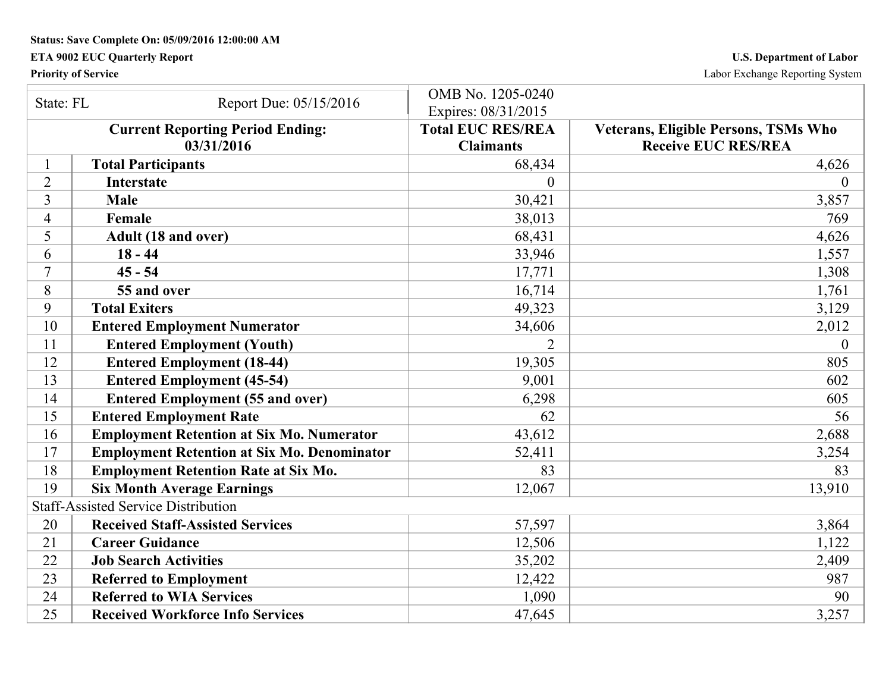## **ETA 9002 EUC Quarterly Report U.S. Department of Labor**

**Priority of Service** Labor Exchange Reporting System

| State: FL      | Report Due: 05/15/2016                                | OMB No. 1205-0240<br>Expires: 08/31/2015     |                                                                    |
|----------------|-------------------------------------------------------|----------------------------------------------|--------------------------------------------------------------------|
|                | <b>Current Reporting Period Ending:</b><br>03/31/2016 | <b>Total EUC RES/REA</b><br><b>Claimants</b> | Veterans, Eligible Persons, TSMs Who<br><b>Receive EUC RES/REA</b> |
|                | <b>Total Participants</b>                             | 68,434                                       | 4,626                                                              |
| $\overline{2}$ | <b>Interstate</b>                                     | $\theta$                                     | $\overline{0}$                                                     |
| 3              | <b>Male</b>                                           | 30,421                                       | 3,857                                                              |
| 4              | Female                                                | 38,013                                       | 769                                                                |
| 5              | Adult (18 and over)                                   | 68,431                                       | 4,626                                                              |
| 6              | $18 - 44$                                             | 33,946                                       | 1,557                                                              |
| 7              | $45 - 54$                                             | 17,771                                       | 1,308                                                              |
| 8              | 55 and over                                           | 16,714                                       | 1,761                                                              |
| 9              | <b>Total Exiters</b>                                  | 49,323                                       | 3,129                                                              |
| 10             | <b>Entered Employment Numerator</b>                   | 34,606                                       | 2,012                                                              |
| 11             | <b>Entered Employment (Youth)</b>                     |                                              | $\theta$                                                           |
| 12             | <b>Entered Employment (18-44)</b>                     | 19,305                                       | 805                                                                |
| 13             | <b>Entered Employment (45-54)</b>                     | 9,001                                        | 602                                                                |
| 14             | <b>Entered Employment (55 and over)</b>               | 6,298                                        | 605                                                                |
| 15             | <b>Entered Employment Rate</b>                        | 62                                           | 56                                                                 |
| 16             | <b>Employment Retention at Six Mo. Numerator</b>      | 43,612                                       | 2,688                                                              |
| 17             | <b>Employment Retention at Six Mo. Denominator</b>    | 52,411                                       | 3,254                                                              |
| 18             | <b>Employment Retention Rate at Six Mo.</b>           | 83                                           | 83                                                                 |
| 19             | <b>Six Month Average Earnings</b>                     | 12,067                                       | 13,910                                                             |
|                | <b>Staff-Assisted Service Distribution</b>            |                                              |                                                                    |
| 20             | <b>Received Staff-Assisted Services</b>               | 57,597                                       | 3,864                                                              |
| 21             | <b>Career Guidance</b>                                | 12,506                                       | 1,122                                                              |
| 22             | <b>Job Search Activities</b>                          | 35,202                                       | 2,409                                                              |
| 23             | <b>Referred to Employment</b>                         | 12,422                                       | 987                                                                |
| 24             | <b>Referred to WIA Services</b>                       | 1,090                                        | 90                                                                 |
| 25             | <b>Received Workforce Info Services</b>               | 47,645                                       | 3,257                                                              |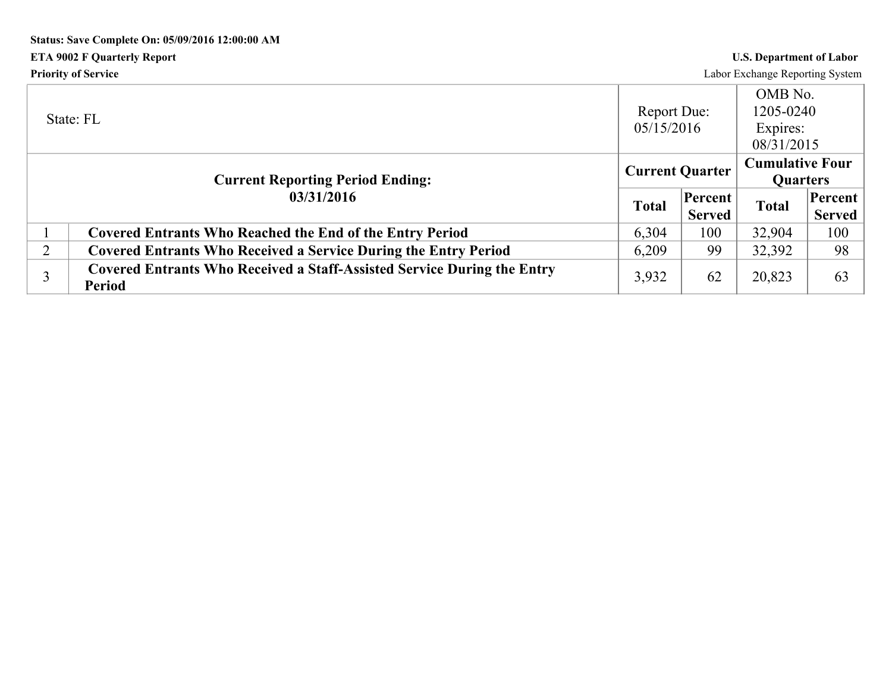# **Status: Save Complete On: 05/09/2016 12:00:00 AM ETA 9002 F Quarterly Report U.S. Department of Labor Priority of Service** Labor Exchange Reporting System

|                | State: FL                                                                                       | Report Due:<br>05/15/2016 |                          | OMB No.<br>1205-0240<br>Expires:<br>08/31/2015 |                          |
|----------------|-------------------------------------------------------------------------------------------------|---------------------------|--------------------------|------------------------------------------------|--------------------------|
|                | <b>Current Reporting Period Ending:</b>                                                         | <b>Current Quarter</b>    |                          | <b>Cumulative Four</b><br><b>Quarters</b>      |                          |
|                | 03/31/2016                                                                                      | <b>Total</b>              | Percent<br><b>Served</b> | <b>Total</b>                                   | Percent<br><b>Served</b> |
|                | <b>Covered Entrants Who Reached the End of the Entry Period</b>                                 | 6,304                     | 100                      | 32,904                                         | 100                      |
| $\overline{2}$ | <b>Covered Entrants Who Received a Service During the Entry Period</b>                          | 6,209                     | 99                       | 32,392                                         | 98                       |
|                | <b>Covered Entrants Who Received a Staff-Assisted Service During the Entry</b><br><b>Period</b> | 3,932                     | 62                       | 20,823                                         | 63                       |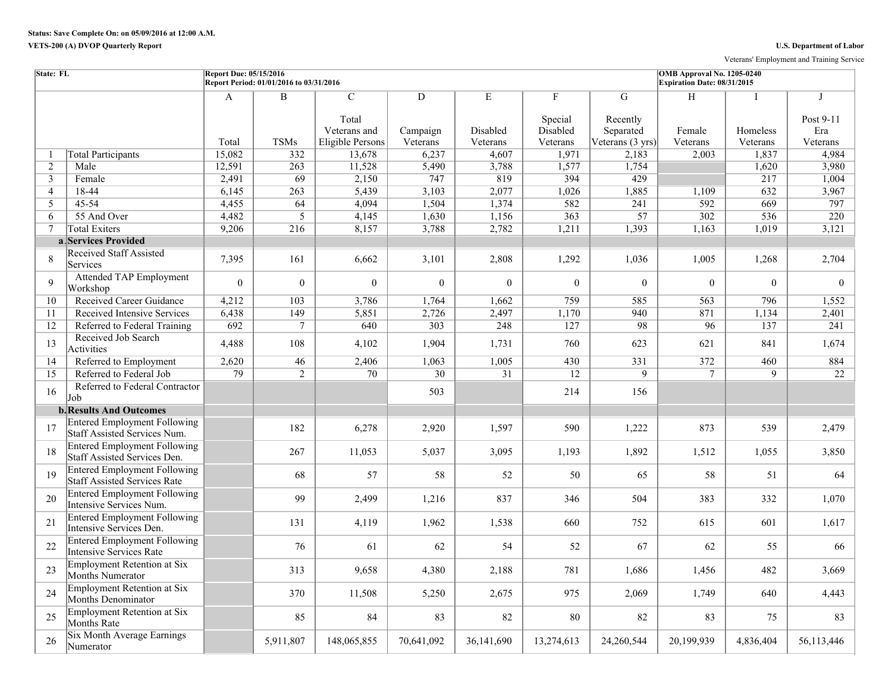Veterans' Employment and Training Service

| <b>State: FL</b> |                                                                            | Report Due: 05/15/2016 | Report Period: 01/01/2016 to 03/31/2016 |                                                            |                                        |                           |                                                 |                                                | OMB Approval No. 1205-0240<br>Expiration Date: 08/31/2015 |                      |                                             |
|------------------|----------------------------------------------------------------------------|------------------------|-----------------------------------------|------------------------------------------------------------|----------------------------------------|---------------------------|-------------------------------------------------|------------------------------------------------|-----------------------------------------------------------|----------------------|---------------------------------------------|
|                  |                                                                            | A<br>Total             | $\overline{B}$<br><b>TSMs</b>           | $\mathcal{C}$<br>Total<br>Veterans and<br>Eligible Persons | $\overline{D}$<br>Campaign<br>Veterans | E<br>Disabled<br>Veterans | $\mathbf{F}$<br>Special<br>Disabled<br>Veterans | G<br>Recently<br>Separated<br>Veterans (3 yrs) | H<br>Female<br>Veterans                                   | Homeless<br>Veterans | $\mathbf I$<br>Post 9-11<br>Era<br>Veterans |
| -1               | <b>Total Participants</b>                                                  | 15,082                 | 332                                     | 13,678                                                     | 6,237                                  | 4,607                     | 1,971                                           | 2,183                                          | 2,003                                                     | 1,837                | 4,984                                       |
| 2                | Male                                                                       | 12,591                 | 263                                     | 11,528                                                     | 5,490                                  | 3,788                     | 1,577                                           | 1,754                                          |                                                           | 1,620                | 3,980                                       |
| 3                | Female                                                                     | 2,491                  | 69                                      | 2,150                                                      | 747                                    | 819                       | 394                                             | 429                                            |                                                           | 217                  | 1,004                                       |
| $\overline{4}$   | 18-44                                                                      | 6,145                  | 263                                     | 5,439                                                      | 3,103                                  | 2,077                     | 1,026                                           | 1,885                                          | 1,109                                                     | 632                  | 3,967                                       |
| 5                | $45 - 54$                                                                  | 4,455                  | 64                                      | 4,094                                                      | 1,504                                  | 1,374                     | 582                                             | 241                                            | 592                                                       | 669                  | 797                                         |
| 6                | 55 And Over                                                                | 4,482                  | $\overline{5}$                          | 4,145                                                      | 1,630                                  | 1,156                     | 363                                             | 57                                             | 302                                                       | 536                  | 220                                         |
| 7                | <b>Total Exiters</b>                                                       | 9,206                  | 216                                     | 8,157                                                      | 3,788                                  | 2,782                     | 1,211                                           | 1,393                                          | 1,163                                                     | 1,019                | 3,121                                       |
|                  | a Services Provided                                                        |                        |                                         |                                                            |                                        |                           |                                                 |                                                |                                                           |                      |                                             |
| 8                | <b>Received Staff Assisted</b><br>Services                                 | 7,395                  | 161                                     | 6,662                                                      | 3,101                                  | 2,808                     | 1,292                                           | 1,036                                          | 1,005                                                     | 1,268                | 2,704                                       |
| $\mathbf{Q}$     | <b>Attended TAP Employment</b><br>Workshop                                 | $\theta$               | $\overline{0}$                          | $\theta$                                                   | $\boldsymbol{0}$                       | $\mathbf{0}$              | $\theta$                                        | $\theta$                                       | $\theta$                                                  | $\overline{0}$       | $\overline{0}$                              |
| 10               | <b>Received Career Guidance</b>                                            | 4,212                  | 103                                     | 3,786                                                      | 1,764                                  | 1,662                     | 759                                             | 585                                            | 563                                                       | 796                  | 1,552                                       |
| 11               | Received Intensive Services                                                | 6,438                  | 149                                     | 5,851                                                      | 2,726                                  | 2,497                     | 1,170                                           | 940                                            | 871                                                       | 1,134                | 2,401                                       |
| 12               | Referred to Federal Training                                               | $\overline{692}$       | $\tau$                                  | 640                                                        | 303                                    | 248                       | 127                                             | 98                                             | 96                                                        | 137                  | 241                                         |
| 13               | Received Job Search<br>Activities                                          | 4,488                  | 108                                     | 4,102                                                      | 1,904                                  | 1,731                     | 760                                             | 623                                            | 621                                                       | 841                  | 1,674                                       |
| 14               | Referred to Employment                                                     | 2,620                  | 46                                      | 2,406                                                      | 1,063                                  | 1,005                     | 430                                             | 331                                            | 372                                                       | 460                  | 884                                         |
| 15               | Referred to Federal Job                                                    | $\overline{79}$        | $\overline{2}$                          | $\overline{70}$                                            | $\overline{30}$                        | $\overline{31}$           | 12                                              | $\overline{9}$                                 | $\overline{7}$                                            | $\overline{9}$       | 22                                          |
| 16               | Referred to Federal Contractor<br>Job                                      |                        |                                         |                                                            | 503                                    |                           | 214                                             | 156                                            |                                                           |                      |                                             |
|                  | <b>b. Results And Outcomes</b>                                             |                        |                                         |                                                            |                                        |                           |                                                 |                                                |                                                           |                      |                                             |
| 17               | <b>Entered Employment Following</b><br>Staff Assisted Services Num.        |                        | 182                                     | 6,278                                                      | 2,920                                  | 1,597                     | 590                                             | 1,222                                          | 873                                                       | 539                  | 2,479                                       |
| 18               | <b>Entered Employment Following</b><br>Staff Assisted Services Den.        |                        | 267                                     | 11,053                                                     | 5,037                                  | 3,095                     | 1,193                                           | 1,892                                          | 1,512                                                     | 1,055                | 3,850                                       |
| 19               | <b>Entered Employment Following</b><br><b>Staff Assisted Services Rate</b> |                        | 68                                      | 57                                                         | 58                                     | 52                        | 50                                              | 65                                             | 58                                                        | 51                   | 64                                          |
| 20               | <b>Entered Employment Following</b><br>Intensive Services Num.             |                        | 99                                      | 2,499                                                      | 1,216                                  | 837                       | 346                                             | 504                                            | 383                                                       | 332                  | 1,070                                       |
| 21               | <b>Entered Employment Following</b><br>Intensive Services Den.             |                        | 131                                     | 4,119                                                      | 1,962                                  | 1,538                     | 660                                             | 752                                            | 615                                                       | 601                  | 1,617                                       |
| 22               | <b>Entered Employment Following</b><br>Intensive Services Rate             |                        | 76                                      | 61                                                         | 62                                     | 54                        | 52                                              | 67                                             | 62                                                        | 55                   | 66                                          |
| 23               | <b>Employment Retention at Six</b><br>Months Numerator                     |                        | 313                                     | 9,658                                                      | 4,380                                  | 2,188                     | 781                                             | 1,686                                          | 1,456                                                     | 482                  | 3,669                                       |
| 24               | <b>Employment Retention at Six</b><br>Months Denominator                   |                        | 370                                     | 11,508                                                     | 5,250                                  | 2,675                     | 975                                             | 2,069                                          | 1,749                                                     | 640                  | 4,443                                       |
| 25               | Employment Retention at Six<br>Months Rate                                 |                        | 85                                      | 84                                                         | 83                                     | 82                        | 80                                              | 82                                             | 83                                                        | 75                   | 83                                          |
| 26               | Six Month Average Earnings<br>Numerator                                    |                        | 5,911,807                               | 148,065,855                                                | 70,641,092                             | 36,141,690                | 13,274,613                                      | 24,260,544                                     | 20,199,939                                                | 4,836,404            | 56,113,446                                  |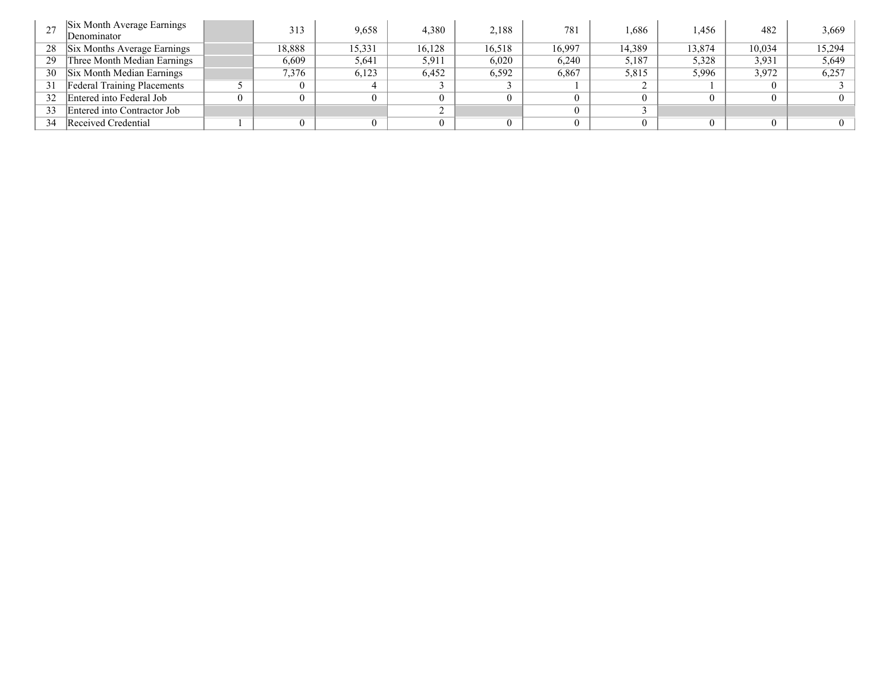|    | Six Month Average Earnings<br>Denominator | 313      | 9,658  | 4,380  | 2,188  | 781    | .686   | .456   | 482    | 3,669  |
|----|-------------------------------------------|----------|--------|--------|--------|--------|--------|--------|--------|--------|
| 28 | Six Months Average Earnings               | 18,888   | 15,331 | 16,128 | 16,518 | 16,997 | 14,389 | 13,874 | 10,034 | 15,294 |
| 29 | Three Month Median Earnings               | 6,609    | 5,641  | 5,911  | 6,020  | 6,240  | 5,187  | 5,328  | 3.931  | 5,649  |
| 30 | Six Month Median Earnings                 | 7,376    | 6,123  | 6,452  | 6,592  | 6,867  | 5,815  | 5,996  | 3,972  | 6,257  |
| 31 | <b>Federal Training Placements</b>        | $\Omega$ |        |        |        |        |        |        |        |        |
| 32 | Entered into Federal Job                  | $\theta$ |        |        |        |        |        |        |        |        |
| 33 | Entered into Contractor Job               |          |        |        |        |        |        |        |        |        |
| 34 | Received Credential                       | $\Omega$ |        |        |        |        |        |        |        |        |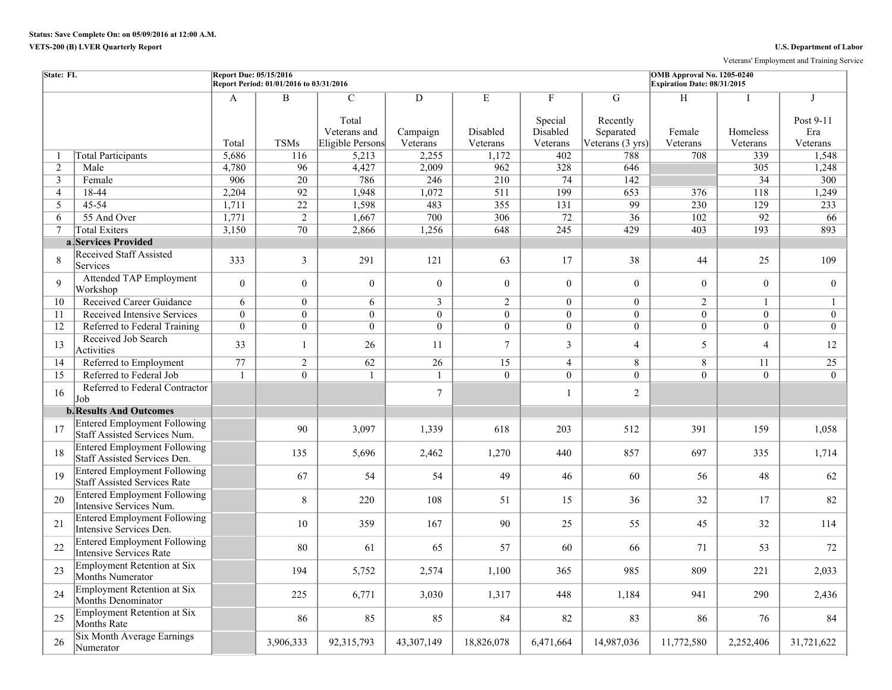## **VETS-200 (B) LVER Quarterly Report U.S. Department of Labor**

Veterans' Employment and Training Service

| State: FL      |                                                                       | <b>Report Due: 05/15/2016</b> | Report Period: 01/01/2016 to 03/31/2016 |                                                            |                           |                           |                                      |                                                | OMB Approval No. 1205-0240<br>Expiration Date: 08/31/2015 |                           |                                             |
|----------------|-----------------------------------------------------------------------|-------------------------------|-----------------------------------------|------------------------------------------------------------|---------------------------|---------------------------|--------------------------------------|------------------------------------------------|-----------------------------------------------------------|---------------------------|---------------------------------------------|
|                |                                                                       | A<br>Total                    | B<br><b>TSMs</b>                        | $\mathcal{C}$<br>Total<br>Veterans and<br>Eligible Persons | D<br>Campaign<br>Veterans | E<br>Disabled<br>Veterans | F<br>Special<br>Disabled<br>Veterans | G<br>Recently<br>Separated<br>Veterans (3 yrs) | H<br>Female<br>Veterans                                   | T<br>Homeless<br>Veterans | $\mathbf I$<br>Post 9-11<br>Era<br>Veterans |
| -1             | <b>Total Participants</b>                                             | 5,686                         | 116                                     | 5,213                                                      | 2,255                     | 1,172                     | 402                                  | 788                                            | 708                                                       | 339                       | 1,548                                       |
| 2              | Male                                                                  | 4,780                         | 96                                      | 4,427                                                      | 2,009                     | 962                       | 328                                  | 646                                            |                                                           | 305                       | 1,248                                       |
| $\overline{3}$ | Female                                                                | 906                           | $\overline{20}$                         | 786                                                        | 246                       | 210                       | 74                                   | 142                                            |                                                           | 34                        | 300                                         |
| $\overline{4}$ | 18-44                                                                 | 2,204                         | $\overline{92}$                         | 1,948                                                      | 1,072                     | $\overline{511}$          | 199                                  | 653                                            | 376                                                       | 118                       | 1,249                                       |
| 5              | 45-54                                                                 | 1,711                         | $\overline{22}$                         | 1,598                                                      | 483                       | 355                       | 131                                  | 99                                             | 230                                                       | 129                       | 233                                         |
| 6              | 55 And Over                                                           | 1,771                         | $\overline{2}$                          | 1,667                                                      | 700                       | 306                       | 72                                   | 36                                             | 102                                                       | $\overline{92}$           | 66                                          |
| $\tau$         | <b>Total Exiters</b>                                                  | 3,150                         | 70                                      | 2,866                                                      | 1,256                     | 648                       | 245                                  | 429                                            | 403                                                       | 193                       | 893                                         |
|                | a Services Provided                                                   |                               |                                         |                                                            |                           |                           |                                      |                                                |                                                           |                           |                                             |
| 8              | <b>Received Staff Assisted</b><br>Services                            | 333                           | $\mathfrak{Z}$                          | 291                                                        | 121                       | 63                        | 17                                   | 38                                             | 44                                                        | 25                        | 109                                         |
| $\mathbf{Q}$   | <b>Attended TAP Employment</b><br>Workshop                            | $\Omega$                      | $\boldsymbol{0}$                        | $\overline{0}$                                             | $\mathbf{0}$              | $\overline{0}$            | $\mathbf{0}$                         | $\overline{0}$                                 | $\mathbf{0}$                                              | $\Omega$                  | $\overline{0}$                              |
| 10             | Received Career Guidance                                              | 6                             | $\overline{0}$                          | 6                                                          | $\mathbf{3}$              | $\overline{2}$            | $\theta$                             | $\Omega$                                       | $\overline{2}$                                            |                           | $\mathbf{1}$                                |
| 11             | Received Intensive Services                                           | $\overline{0}$                | $\overline{0}$                          | $\overline{0}$                                             | $\overline{0}$            | $\theta$                  | $\overline{0}$                       | $\theta$                                       | $\theta$                                                  | $\theta$                  | $\overline{0}$                              |
| 12             | Referred to Federal Training                                          | $\overline{0}$                | $\overline{0}$                          | $\overline{0}$                                             | $\overline{0}$            | $\overline{0}$            | $\overline{0}$                       | $\overline{0}$                                 | $\overline{0}$                                            | $\overline{0}$            | $\overline{0}$                              |
| 13             | Received Job Search<br>Activities                                     | 33                            | $\mathbf{1}$                            | 26                                                         | 11                        | $\overline{7}$            | $\mathfrak{Z}$                       | $\overline{4}$                                 | 5                                                         | $\overline{4}$            | 12                                          |
| 14             | Referred to Employment                                                | 77                            | $\overline{2}$                          | 62                                                         | 26                        | 15                        | $\overline{4}$                       | 8                                              | 8                                                         | 11                        | 25                                          |
| 15             | Referred to Federal Job                                               | 1                             | $\theta$                                | $\mathbf{1}$                                               | $\mathbf{1}$              | $\Omega$                  | $\theta$                             | $\Omega$                                       | $\Omega$                                                  | $\Omega$                  | $\Omega$                                    |
| 16             | Referred to Federal Contractor<br>Job                                 |                               |                                         |                                                            | $\overline{7}$            |                           | $\mathbf{1}$                         | $\overline{2}$                                 |                                                           |                           |                                             |
|                | <b>b.</b> Results And Outcomes                                        |                               |                                         |                                                            |                           |                           |                                      |                                                |                                                           |                           |                                             |
| 17             | <b>Entered Employment Following</b><br>Staff Assisted Services Num.   |                               | 90                                      | 3,097                                                      | 1,339                     | 618                       | 203                                  | 512                                            | 391                                                       | 159                       | 1,058                                       |
| 18             | <b>Entered Employment Following</b><br>Staff Assisted Services Den.   |                               | 135                                     | 5,696                                                      | 2,462                     | 1,270                     | 440                                  | 857                                            | 697                                                       | 335                       | 1,714                                       |
| 19             | <b>Entered Employment Following</b><br>Staff Assisted Services Rate   |                               | 67                                      | 54                                                         | 54                        | 49                        | 46                                   | 60                                             | 56                                                        | 48                        | 62                                          |
| 20             | <b>Entered Employment Following</b><br>Intensive Services Num.        |                               | $8\,$                                   | 220                                                        | 108                       | 51                        | 15                                   | 36                                             | 32                                                        | 17                        | 82                                          |
| 21             | <b>Entered Employment Following</b><br>Intensive Services Den.        |                               | 10                                      | 359                                                        | 167                       | 90                        | 25                                   | 55                                             | 45                                                        | 32                        | 114                                         |
| 22             | <b>Entered Employment Following</b><br><b>Intensive Services Rate</b> |                               | 80                                      | 61                                                         | 65                        | 57                        | 60                                   | 66                                             | 71                                                        | 53                        | 72                                          |
| 23             | <b>Employment Retention at Six</b><br>Months Numerator                |                               | 194                                     | 5,752                                                      | 2,574                     | 1,100                     | 365                                  | 985                                            | 809                                                       | 221                       | 2,033                                       |
| 24             | <b>Employment Retention at Six</b><br><b>Months Denominator</b>       |                               | 225                                     | 6,771                                                      | 3,030                     | 1,317                     | 448                                  | 1,184                                          | 941                                                       | 290                       | 2,436                                       |
| 25             | <b>Employment Retention at Six</b><br>Months Rate                     |                               | 86                                      | 85                                                         | 85                        | 84                        | 82                                   | 83                                             | 86                                                        | 76                        | 84                                          |
| 26             | <b>Six Month Average Earnings</b><br>Numerator                        |                               | 3,906,333                               | 92,315,793                                                 | 43,307,149                | 18,826,078                | 6,471,664                            | 14,987,036                                     | 11,772,580                                                | 2,252,406                 | 31,721,622                                  |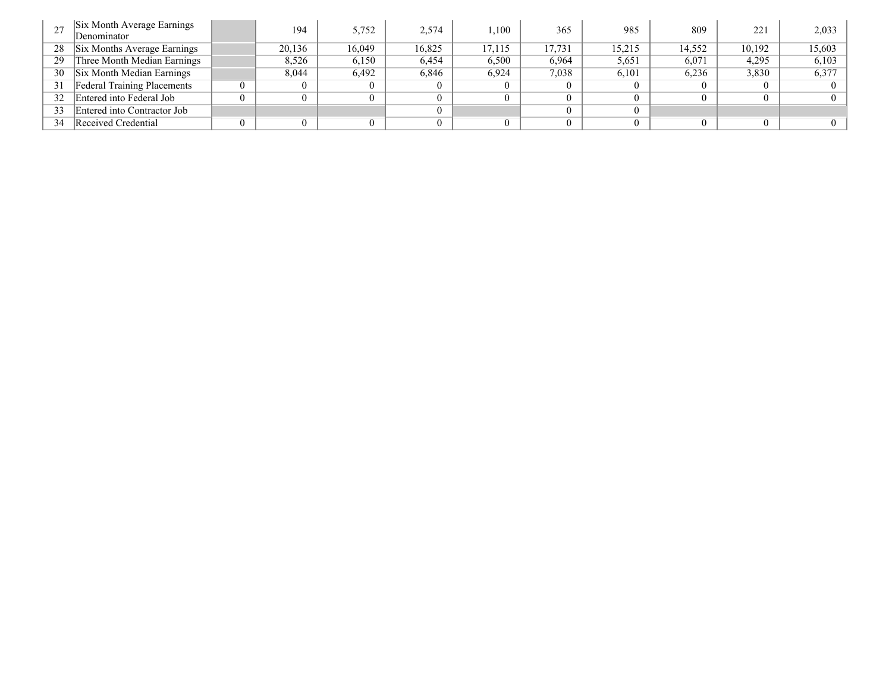| 27 | Six Month Average Earnings<br>Denominator | 194            | 5,752    | 2,574  | .100   | 365    | 985    | 809    | 221    | 2,033  |
|----|-------------------------------------------|----------------|----------|--------|--------|--------|--------|--------|--------|--------|
| 28 | Six Months Average Earnings               | 20,136         | 16.049   | 16.825 | 17.115 | 17,731 | 15,215 | 14.552 | 10.192 | 15,603 |
| 29 | Three Month Median Earnings               | 8,526          | 6,150    | 6,454  | 6,500  | 6,964  | 5,651  | 6,071  | 4,295  | 6,103  |
| 30 | Six Month Median Earnings                 | 8.044          | 6.492    | 6,846  | 6,924  | 7,038  | 6,101  | 6,236  | 3,830  | 6,377  |
| 31 | <b>Federal Training Placements</b>        | 0              | $\theta$ |        |        |        |        |        |        |        |
| 32 | Entered into Federal Job                  | 0              | $\Omega$ |        |        |        |        |        |        |        |
| 33 | Entered into Contractor Job               |                |          |        |        |        |        |        |        |        |
| 34 | Received Credential                       | $\overline{0}$ | $\theta$ |        |        |        | 0      |        |        |        |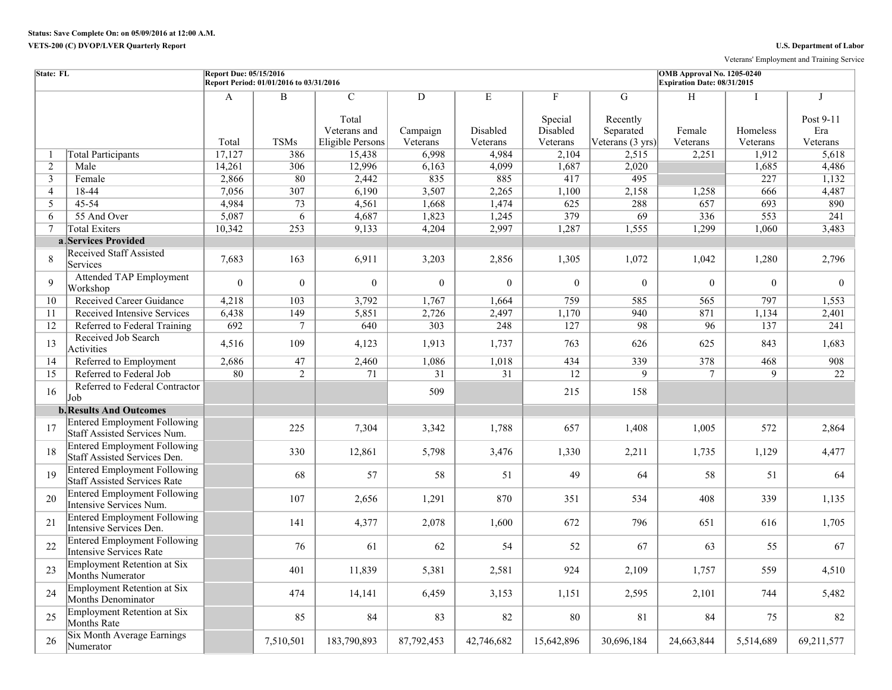Veterans' Employment and Training Service

| State: FL      |                                                                            | <b>Report Due: 05/15/2016</b> | Report Period: 01/01/2016 to 03/31/2016 |                                                            |                           |                           |                                      |                                                          | OMB Approval No. 1205-0240<br>Expiration Date: 08/31/2015 |                           |                                              |
|----------------|----------------------------------------------------------------------------|-------------------------------|-----------------------------------------|------------------------------------------------------------|---------------------------|---------------------------|--------------------------------------|----------------------------------------------------------|-----------------------------------------------------------|---------------------------|----------------------------------------------|
|                |                                                                            | A<br>Total                    | $\, {\bf B}$<br><b>TSMs</b>             | $\mathcal{C}$<br>Total<br>Veterans and<br>Eligible Persons | D<br>Campaign<br>Veterans | E<br>Disabled<br>Veterans | F<br>Special<br>Disabled<br>Veterans | G<br>Recently<br>Separated<br>Veterans $(3 \text{ yrs})$ | H<br>Female<br>Veterans                                   | Ι<br>Homeless<br>Veterans | $\mathbf{I}$<br>Post 9-11<br>Era<br>Veterans |
| -1             | <b>Total Participants</b>                                                  | 17,127                        | 386                                     | 15,438                                                     | 6,998                     | 4,984                     | 2,104                                | 2,515                                                    | 2,251                                                     | 1,912                     | 5,618                                        |
| 2              | Male                                                                       | 14,261                        | 306                                     | 12,996                                                     | 6,163                     | 4,099                     | 1,687                                | 2,020                                                    |                                                           | 1,685                     | 4,486                                        |
| 3              | Female                                                                     | 2,866                         | 80                                      | 2,442                                                      | 835                       | 885                       | 417                                  | 495                                                      |                                                           | 227                       | 1,132                                        |
| $\overline{4}$ | 18-44                                                                      | 7,056                         | 307                                     | 6,190                                                      | 3,507                     | 2,265                     | 1,100                                | 2,158                                                    | 1,258                                                     | 666                       | 4,487                                        |
| 5              | 45-54                                                                      | 4,984                         | 73                                      | 4,561                                                      | 1,668                     | 1,474                     | 625                                  | 288                                                      | 657                                                       | 693                       | 890                                          |
| 6              | 55 And Over                                                                | 5,087                         | 6                                       | 4,687                                                      | 1,823                     | 1,245                     | 379                                  | 69                                                       | 336                                                       | $\overline{553}$          | 241                                          |
| 7              | <b>Total Exiters</b>                                                       | 10,342                        | 253                                     | 9,133                                                      | 4,204                     | 2,997                     | 1,287                                | 1,555                                                    | 1,299                                                     | 1,060                     | 3,483                                        |
|                | a Services Provided                                                        |                               |                                         |                                                            |                           |                           |                                      |                                                          |                                                           |                           |                                              |
| 8              | Received Staff Assisted<br>Services                                        | 7,683                         | 163                                     | 6,911                                                      | 3,203                     | 2,856                     | 1,305                                | 1,072                                                    | 1,042                                                     | 1,280                     | 2,796                                        |
| $\mathbf{Q}$   | <b>Attended TAP Employment</b><br>Workshop                                 | $\theta$                      | $\boldsymbol{0}$                        | $\theta$                                                   | $\boldsymbol{0}$          | $\mathbf{0}$              | $\overline{0}$                       | $\boldsymbol{0}$                                         | $\theta$                                                  | $\theta$                  | $\overline{0}$                               |
| 10             | Received Career Guidance                                                   | 4,218                         | 103                                     | 3,792                                                      | 1,767                     | 1,664                     | 759                                  | 585                                                      | 565                                                       | 797                       | 1,553                                        |
| 11             | Received Intensive Services                                                | 6,438                         | 149                                     | 5,851                                                      | 2,726                     | 2,497                     | 1,170                                | 940                                                      | 871                                                       | 1,134                     | 2,401                                        |
| 12             | Referred to Federal Training                                               | 692                           | 7                                       | 640                                                        | 303                       | 248                       | 127                                  | 98                                                       | 96                                                        | 137                       | 241                                          |
| 13             | Received Job Search<br>Activities                                          | 4,516                         | 109                                     | 4,123                                                      | 1,913                     | 1,737                     | 763                                  | 626                                                      | 625                                                       | 843                       | 1,683                                        |
| 14             | Referred to Employment                                                     | 2,686                         | 47                                      | 2,460                                                      | 1,086                     | 1,018                     | 434                                  | 339                                                      | 378                                                       | 468                       | 908                                          |
| 15             | Referred to Federal Job                                                    | $\overline{80}$               | $\overline{2}$                          | 71                                                         | $\overline{31}$           | $\overline{31}$           | 12                                   | $\overline{9}$                                           | $7\phantom{.0}$                                           | 9                         | 22                                           |
| 16             | Referred to Federal Contractor<br>Job                                      |                               |                                         |                                                            | 509                       |                           | 215                                  | 158                                                      |                                                           |                           |                                              |
|                | <b>b. Results And Outcomes</b>                                             |                               |                                         |                                                            |                           |                           |                                      |                                                          |                                                           |                           |                                              |
| 17             | <b>Entered Employment Following</b><br>Staff Assisted Services Num.        |                               | 225                                     | 7,304                                                      | 3,342                     | 1,788                     | 657                                  | 1,408                                                    | 1,005                                                     | 572                       | 2,864                                        |
| 18             | <b>Entered Employment Following</b><br>Staff Assisted Services Den.        |                               | 330                                     | 12,861                                                     | 5,798                     | 3,476                     | 1,330                                | 2,211                                                    | 1,735                                                     | 1,129                     | 4,477                                        |
| 19             | <b>Entered Employment Following</b><br><b>Staff Assisted Services Rate</b> |                               | 68                                      | 57                                                         | 58                        | 51                        | 49                                   | 64                                                       | 58                                                        | 51                        | 64                                           |
| 20             | <b>Entered Employment Following</b><br>Intensive Services Num.             |                               | 107                                     | 2,656                                                      | 1,291                     | 870                       | 351                                  | 534                                                      | 408                                                       | 339                       | 1,135                                        |
| 21             | <b>Entered Employment Following</b><br>Intensive Services Den.             |                               | 141                                     | 4,377                                                      | 2,078                     | 1,600                     | 672                                  | 796                                                      | 651                                                       | 616                       | 1,705                                        |
| 22             | <b>Entered Employment Following</b><br><b>Intensive Services Rate</b>      |                               | 76                                      | 61                                                         | 62                        | 54                        | 52                                   | 67                                                       | 63                                                        | 55                        | 67                                           |
| 23             | <b>Employment Retention at Six</b><br>Months Numerator                     |                               | 401                                     | 11,839                                                     | 5,381                     | 2,581                     | 924                                  | 2,109                                                    | 1,757                                                     | 559                       | 4,510                                        |
| 24             | <b>Employment Retention at Six</b><br><b>Months Denominator</b>            |                               | 474                                     | 14,141                                                     | 6,459                     | 3,153                     | 1,151                                | 2,595                                                    | 2,101                                                     | 744                       | 5,482                                        |
| 25             | <b>Employment Retention at Six</b><br>Months Rate                          |                               | 85                                      | 84                                                         | 83                        | 82                        | 80                                   | 81                                                       | 84                                                        | 75                        | 82                                           |
| 26             | Six Month Average Earnings<br>Numerator                                    |                               | 7,510,501                               | 183,790,893                                                | 87,792,453                | 42,746,682                | 15,642,896                           | 30,696,184                                               | 24,663,844                                                | 5,514,689                 | 69,211,577                                   |